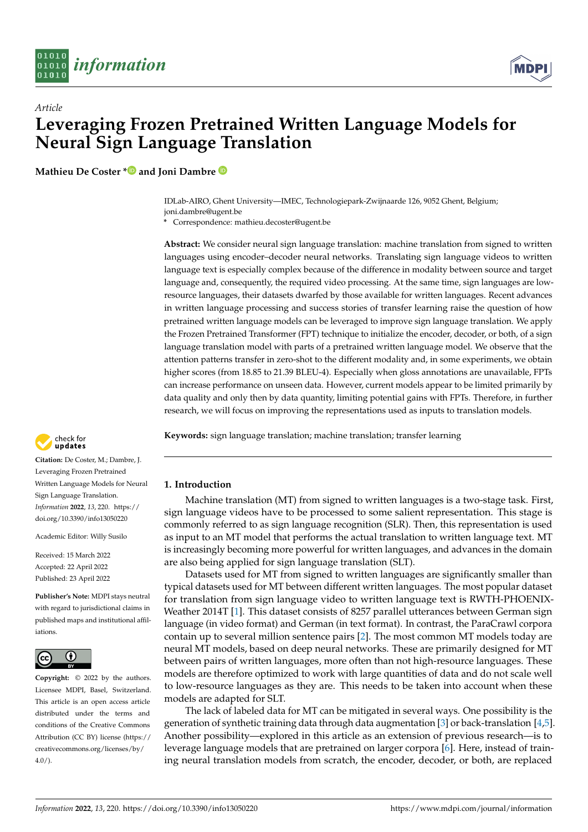

*Article*



# **Leveraging Frozen Pretrained Written Language Models for Neural Sign Language Translation**

**Mathieu De Coster [\\*](https://orcid.org/0000-0002-1103-2441) and Joni Dambre**

IDLab-AIRO, Ghent University—IMEC, Technologiepark-Zwijnaarde 126, 9052 Ghent, Belgium; joni.dambre@ugent.be

**\*** Correspondence: mathieu.decoster@ugent.be

**Abstract:** We consider neural sign language translation: machine translation from signed to written languages using encoder–decoder neural networks. Translating sign language videos to written language text is especially complex because of the difference in modality between source and target language and, consequently, the required video processing. At the same time, sign languages are lowresource languages, their datasets dwarfed by those available for written languages. Recent advances in written language processing and success stories of transfer learning raise the question of how pretrained written language models can be leveraged to improve sign language translation. We apply the Frozen Pretrained Transformer (FPT) technique to initialize the encoder, decoder, or both, of a sign language translation model with parts of a pretrained written language model. We observe that the attention patterns transfer in zero-shot to the different modality and, in some experiments, we obtain higher scores (from 18.85 to 21.39 BLEU-4). Especially when gloss annotations are unavailable, FPTs can increase performance on unseen data. However, current models appear to be limited primarily by data quality and only then by data quantity, limiting potential gains with FPTs. Therefore, in further research, we will focus on improving the representations used as inputs to translation models.

**Keywords:** sign language translation; machine translation; transfer learning



**Citation:** De Coster, M.; Dambre, J. Leveraging Frozen Pretrained Written Language Models for Neural Sign Language Translation. *Information* **2022**, *13*, 220. [https://](https://doi.org/10.3390/info13050220) [doi.org/10.3390/info13050220](https://doi.org/10.3390/info13050220)

Academic Editor: Willy Susilo

Received: 15 March 2022 Accepted: 22 April 2022 Published: 23 April 2022

**Publisher's Note:** MDPI stays neutral with regard to jurisdictional claims in published maps and institutional affiliations.



**Copyright:** © 2022 by the authors. Licensee MDPI, Basel, Switzerland. This article is an open access article distributed under the terms and conditions of the Creative Commons Attribution (CC BY) license [\(https://](https://creativecommons.org/licenses/by/4.0/) [creativecommons.org/licenses/by/](https://creativecommons.org/licenses/by/4.0/)  $4.0/$ ).

# **1. Introduction**

Machine translation (MT) from signed to written languages is a two-stage task. First, sign language videos have to be processed to some salient representation. This stage is commonly referred to as sign language recognition (SLR). Then, this representation is used as input to an MT model that performs the actual translation to written language text. MT is increasingly becoming more powerful for written languages, and advances in the domain are also being applied for sign language translation (SLT).

Datasets used for MT from signed to written languages are significantly smaller than typical datasets used for MT between different written languages. The most popular dataset for translation from sign language video to written language text is RWTH-PHOENIX-Weather 2014T [\[1\]](#page-15-0). This dataset consists of 8257 parallel utterances between German sign language (in video format) and German (in text format). In contrast, the ParaCrawl corpora contain up to several million sentence pairs [\[2\]](#page-15-1). The most common MT models today are neural MT models, based on deep neural networks. These are primarily designed for MT between pairs of written languages, more often than not high-resource languages. These models are therefore optimized to work with large quantities of data and do not scale well to low-resource languages as they are. This needs to be taken into account when these models are adapted for SLT.

The lack of labeled data for MT can be mitigated in several ways. One possibility is the generation of synthetic training data through data augmentation [\[3\]](#page-15-2) or back-translation [\[4](#page-15-3)[,5\]](#page-15-4). Another possibility—explored in this article as an extension of previous research—is to leverage language models that are pretrained on larger corpora [\[6\]](#page-15-5). Here, instead of training neural translation models from scratch, the encoder, decoder, or both, are replaced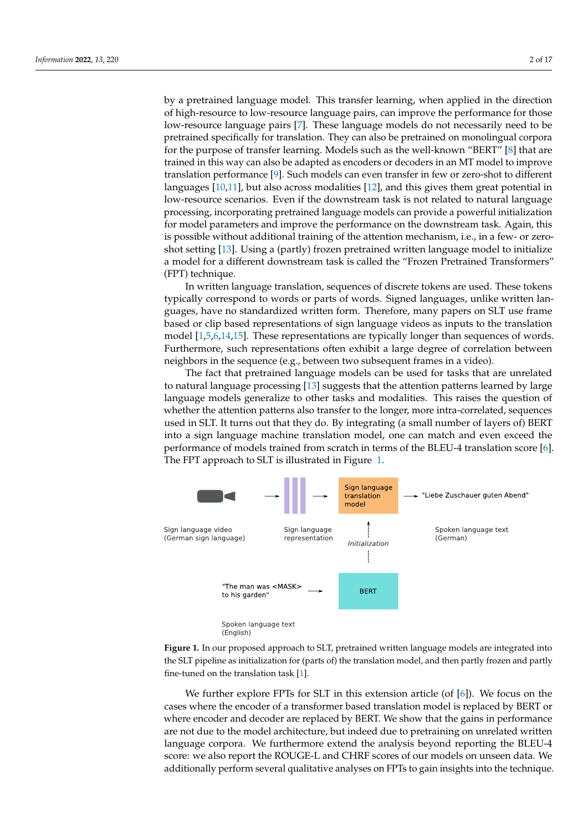by a pretrained language model. This transfer learning, when applied in the direction of high-resource to low-resource language pairs, can improve the performance for those low-resource language pairs [\[7\]](#page-15-6). These language models do not necessarily need to be pretrained specifically for translation. They can also be pretrained on monolingual corpora for the purpose of transfer learning. Models such as the well-known "BERT" [\[8\]](#page-15-7) that are trained in this way can also be adapted as encoders or decoders in an MT model to improve translation performance [\[9\]](#page-15-8). Such models can even transfer in few or zero-shot to different languages [\[10,](#page-15-9)[11\]](#page-15-10), but also across modalities [\[12\]](#page-15-11), and this gives them great potential in low-resource scenarios. Even if the downstream task is not related to natural language processing, incorporating pretrained language models can provide a powerful initialization for model parameters and improve the performance on the downstream task. Again, this is possible without additional training of the attention mechanism, i.e., in a few- or zeroshot setting [\[13\]](#page-15-12). Using a (partly) frozen pretrained written language model to initialize a model for a different downstream task is called the "Frozen Pretrained Transformers" (FPT) technique.

In written language translation, sequences of discrete tokens are used. These tokens typically correspond to words or parts of words. Signed languages, unlike written languages, have no standardized written form. Therefore, many papers on SLT use frame based or clip based representations of sign language videos as inputs to the translation model [\[1,](#page-15-0)[5,](#page-15-4)[6,](#page-15-5)[14,](#page-15-13)[15\]](#page-15-14). These representations are typically longer than sequences of words. Furthermore, such representations often exhibit a large degree of correlation between neighbors in the sequence (e.g., between two subsequent frames in a video).

The fact that pretrained language models can be used for tasks that are unrelated to natural language processing [\[13\]](#page-15-12) suggests that the attention patterns learned by large language models generalize to other tasks and modalities. This raises the question of whether the attention patterns also transfer to the longer, more intra-correlated, sequences used in SLT. It turns out that they do. By integrating (a small number of layers of) BERT into a sign language machine translation model, one can match and even exceed the performance of models trained from scratch in terms of the BLEU-4 translation score [\[6\]](#page-15-5). The FPT approach to SLT is illustrated in Figure [1.](#page-1-0)

<span id="page-1-0"></span>

**Figure 1.** In our proposed approach to SLT, pretrained written language models are integrated into the SLT pipeline as initialization for (parts of) the translation model, and then partly frozen and partly fine-tuned on the translation task [\[1\]](#page-15-0).

We further explore FPTs for SLT in this extension article (of  $[6]$ ). We focus on the cases where the encoder of a transformer based translation model is replaced by BERT or where encoder and decoder are replaced by BERT. We show that the gains in performance are not due to the model architecture, but indeed due to pretraining on unrelated written language corpora. We furthermore extend the analysis beyond reporting the BLEU-4 score: we also report the ROUGE-L and CHRF scores of our models on unseen data. We additionally perform several qualitative analyses on FPTs to gain insights into the technique.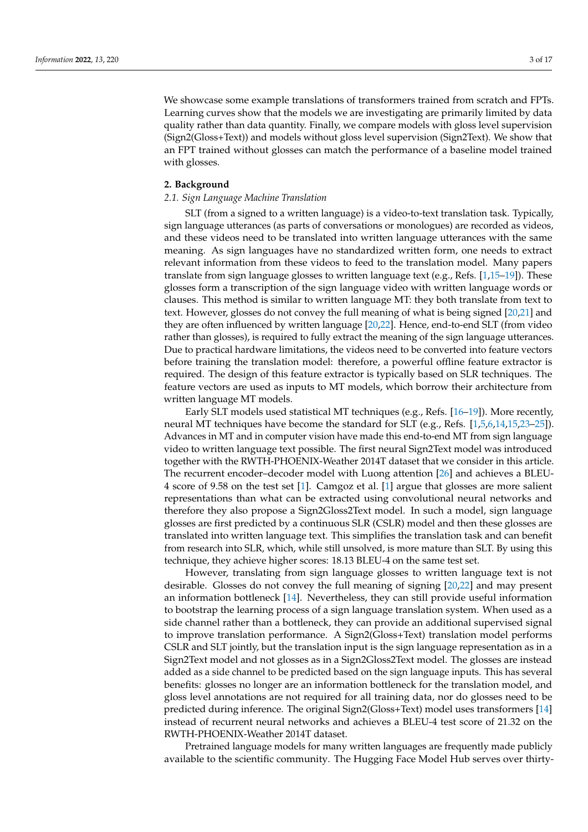We showcase some example translations of transformers trained from scratch and FPTs.

Learning curves show that the models we are investigating are primarily limited by data quality rather than data quantity. Finally, we compare models with gloss level supervision (Sign2(Gloss+Text)) and models without gloss level supervision (Sign2Text). We show that an FPT trained without glosses can match the performance of a baseline model trained with glosses.

## **2. Background**

# *2.1. Sign Language Machine Translation*

SLT (from a signed to a written language) is a video-to-text translation task. Typically, sign language utterances (as parts of conversations or monologues) are recorded as videos, and these videos need to be translated into written language utterances with the same meaning. As sign languages have no standardized written form, one needs to extract relevant information from these videos to feed to the translation model. Many papers translate from sign language glosses to written language text (e.g., Refs. [\[1](#page-15-0)[,15](#page-15-14)[–19\]](#page-16-0)). These glosses form a transcription of the sign language video with written language words or clauses. This method is similar to written language MT: they both translate from text to text. However, glosses do not convey the full meaning of what is being signed [\[20,](#page-16-1)[21\]](#page-16-2) and they are often influenced by written language [\[20](#page-16-1)[,22\]](#page-16-3). Hence, end-to-end SLT (from video rather than glosses), is required to fully extract the meaning of the sign language utterances. Due to practical hardware limitations, the videos need to be converted into feature vectors before training the translation model: therefore, a powerful offline feature extractor is required. The design of this feature extractor is typically based on SLR techniques. The feature vectors are used as inputs to MT models, which borrow their architecture from written language MT models.

Early SLT models used statistical MT techniques (e.g., Refs. [\[16](#page-15-15)[–19\]](#page-16-0)). More recently, neural MT techniques have become the standard for SLT (e.g., Refs. [\[1,](#page-15-0)[5,](#page-15-4)[6,](#page-15-5)[14,](#page-15-13)[15,](#page-15-14)[23–](#page-16-4)[25\]](#page-16-5)). Advances in MT and in computer vision have made this end-to-end MT from sign language video to written language text possible. The first neural Sign2Text model was introduced together with the RWTH-PHOENIX-Weather 2014T dataset that we consider in this article. The recurrent encoder–decoder model with Luong attention [\[26\]](#page-16-6) and achieves a BLEU-4 score of 9.58 on the test set [\[1\]](#page-15-0). Camgoz et al. [\[1\]](#page-15-0) argue that glosses are more salient representations than what can be extracted using convolutional neural networks and therefore they also propose a Sign2Gloss2Text model. In such a model, sign language glosses are first predicted by a continuous SLR (CSLR) model and then these glosses are translated into written language text. This simplifies the translation task and can benefit from research into SLR, which, while still unsolved, is more mature than SLT. By using this technique, they achieve higher scores: 18.13 BLEU-4 on the same test set.

However, translating from sign language glosses to written language text is not desirable. Glosses do not convey the full meaning of signing [\[20,](#page-16-1)[22\]](#page-16-3) and may present an information bottleneck [\[14\]](#page-15-13). Nevertheless, they can still provide useful information to bootstrap the learning process of a sign language translation system. When used as a side channel rather than a bottleneck, they can provide an additional supervised signal to improve translation performance. A Sign2(Gloss+Text) translation model performs CSLR and SLT jointly, but the translation input is the sign language representation as in a Sign2Text model and not glosses as in a Sign2Gloss2Text model. The glosses are instead added as a side channel to be predicted based on the sign language inputs. This has several benefits: glosses no longer are an information bottleneck for the translation model, and gloss level annotations are not required for all training data, nor do glosses need to be predicted during inference. The original Sign2(Gloss+Text) model uses transformers [\[14\]](#page-15-13) instead of recurrent neural networks and achieves a BLEU-4 test score of 21.32 on the RWTH-PHOENIX-Weather 2014T dataset.

Pretrained language models for many written languages are frequently made publicly available to the scientific community. The Hugging Face Model Hub serves over thirty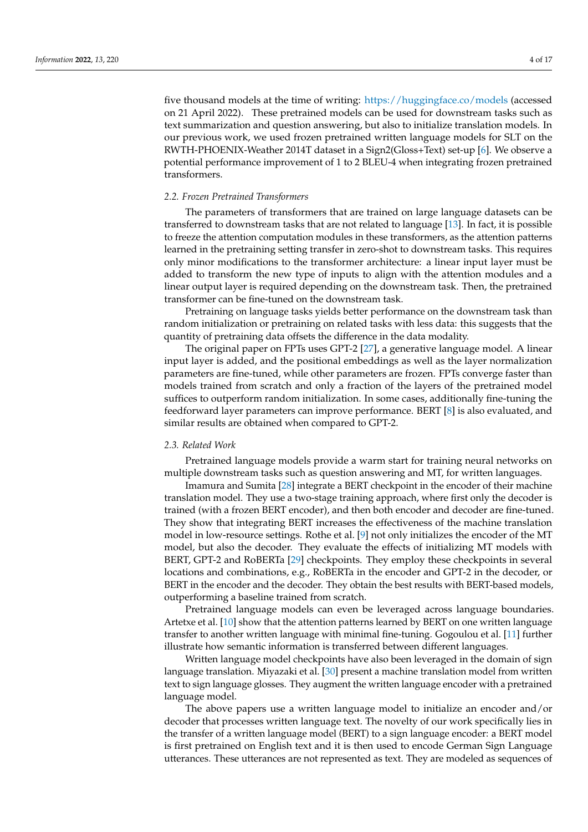five thousand models at the time of writing: <https://huggingface.co/models> (accessed on 21 April 2022). These pretrained models can be used for downstream tasks such as text summarization and question answering, but also to initialize translation models. In our previous work, we used frozen pretrained written language models for SLT on the RWTH-PHOENIX-Weather 2014T dataset in a Sign2(Gloss+Text) set-up [\[6\]](#page-15-5). We observe a potential performance improvement of 1 to 2 BLEU-4 when integrating frozen pretrained transformers.

#### *2.2. Frozen Pretrained Transformers*

The parameters of transformers that are trained on large language datasets can be transferred to downstream tasks that are not related to language [\[13\]](#page-15-12). In fact, it is possible to freeze the attention computation modules in these transformers, as the attention patterns learned in the pretraining setting transfer in zero-shot to downstream tasks. This requires only minor modifications to the transformer architecture: a linear input layer must be added to transform the new type of inputs to align with the attention modules and a linear output layer is required depending on the downstream task. Then, the pretrained transformer can be fine-tuned on the downstream task.

Pretraining on language tasks yields better performance on the downstream task than random initialization or pretraining on related tasks with less data: this suggests that the quantity of pretraining data offsets the difference in the data modality.

The original paper on FPTs uses GPT-2 [\[27\]](#page-16-7), a generative language model. A linear input layer is added, and the positional embeddings as well as the layer normalization parameters are fine-tuned, while other parameters are frozen. FPTs converge faster than models trained from scratch and only a fraction of the layers of the pretrained model suffices to outperform random initialization. In some cases, additionally fine-tuning the feedforward layer parameters can improve performance. BERT [\[8\]](#page-15-7) is also evaluated, and similar results are obtained when compared to GPT-2.

#### *2.3. Related Work*

Pretrained language models provide a warm start for training neural networks on multiple downstream tasks such as question answering and MT, for written languages.

Imamura and Sumita [\[28\]](#page-16-8) integrate a BERT checkpoint in the encoder of their machine translation model. They use a two-stage training approach, where first only the decoder is trained (with a frozen BERT encoder), and then both encoder and decoder are fine-tuned. They show that integrating BERT increases the effectiveness of the machine translation model in low-resource settings. Rothe et al. [\[9\]](#page-15-8) not only initializes the encoder of the MT model, but also the decoder. They evaluate the effects of initializing MT models with BERT, GPT-2 and RoBERTa [\[29\]](#page-16-9) checkpoints. They employ these checkpoints in several locations and combinations, e.g., RoBERTa in the encoder and GPT-2 in the decoder, or BERT in the encoder and the decoder. They obtain the best results with BERT-based models, outperforming a baseline trained from scratch.

Pretrained language models can even be leveraged across language boundaries. Artetxe et al. [\[10\]](#page-15-9) show that the attention patterns learned by BERT on one written language transfer to another written language with minimal fine-tuning. Gogoulou et al. [\[11\]](#page-15-10) further illustrate how semantic information is transferred between different languages.

Written language model checkpoints have also been leveraged in the domain of sign language translation. Miyazaki et al. [\[30\]](#page-16-10) present a machine translation model from written text to sign language glosses. They augment the written language encoder with a pretrained language model.

The above papers use a written language model to initialize an encoder and/or decoder that processes written language text. The novelty of our work specifically lies in the transfer of a written language model (BERT) to a sign language encoder: a BERT model is first pretrained on English text and it is then used to encode German Sign Language utterances. These utterances are not represented as text. They are modeled as sequences of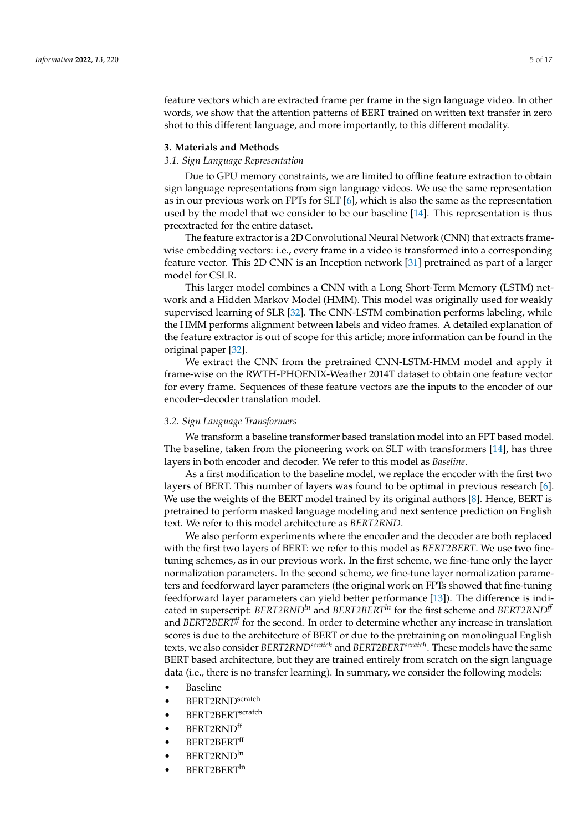feature vectors which are extracted frame per frame in the sign language video. In other words, we show that the attention patterns of BERT trained on written text transfer in zero shot to this different language, and more importantly, to this different modality.

# **3. Materials and Methods**

#### *3.1. Sign Language Representation*

Due to GPU memory constraints, we are limited to offline feature extraction to obtain sign language representations from sign language videos. We use the same representation as in our previous work on FPTs for SLT [\[6\]](#page-15-5), which is also the same as the representation used by the model that we consider to be our baseline [\[14\]](#page-15-13). This representation is thus preextracted for the entire dataset.

The feature extractor is a 2D Convolutional Neural Network (CNN) that extracts framewise embedding vectors: i.e., every frame in a video is transformed into a corresponding feature vector. This 2D CNN is an Inception network [\[31\]](#page-16-11) pretrained as part of a larger model for CSLR.

This larger model combines a CNN with a Long Short-Term Memory (LSTM) network and a Hidden Markov Model (HMM). This model was originally used for weakly supervised learning of SLR [\[32\]](#page-16-12). The CNN-LSTM combination performs labeling, while the HMM performs alignment between labels and video frames. A detailed explanation of the feature extractor is out of scope for this article; more information can be found in the original paper [\[32\]](#page-16-12).

We extract the CNN from the pretrained CNN-LSTM-HMM model and apply it frame-wise on the RWTH-PHOENIX-Weather 2014T dataset to obtain one feature vector for every frame. Sequences of these feature vectors are the inputs to the encoder of our encoder–decoder translation model.

#### *3.2. Sign Language Transformers*

We transform a baseline transformer based translation model into an FPT based model. The baseline, taken from the pioneering work on SLT with transformers [\[14\]](#page-15-13), has three layers in both encoder and decoder. We refer to this model as *Baseline*.

As a first modification to the baseline model, we replace the encoder with the first two layers of BERT. This number of layers was found to be optimal in previous research [\[6\]](#page-15-5). We use the weights of the BERT model trained by its original authors [\[8\]](#page-15-7). Hence, BERT is pretrained to perform masked language modeling and next sentence prediction on English text. We refer to this model architecture as *BERT2RND*.

We also perform experiments where the encoder and the decoder are both replaced with the first two layers of BERT: we refer to this model as *BERT2BERT*. We use two finetuning schemes, as in our previous work. In the first scheme, we fine-tune only the layer normalization parameters. In the second scheme, we fine-tune layer normalization parameters and feedforward layer parameters (the original work on FPTs showed that fine-tuning feedforward layer parameters can yield better performance [\[13\]](#page-15-12)). The difference is indicated in superscript: *BERT2RNDln* and *BERT2BERTln* for the first scheme and *BERT2RNDff* and *BERT2BERTff* for the second. In order to determine whether any increase in translation scores is due to the architecture of BERT or due to the pretraining on monolingual English texts, we also consider *BERT2RNDscratch* and *BERT2BERTscratch*. These models have the same BERT based architecture, but they are trained entirely from scratch on the sign language data (i.e., there is no transfer learning). In summary, we consider the following models:

- Baseline
- BERT2RNDscratch
- BERT2BERT<sup>scratch</sup>
- BERT2RNDff
- BERT2BERTff
- BERT2RNDln
- BERT2BERT<sup>In</sup>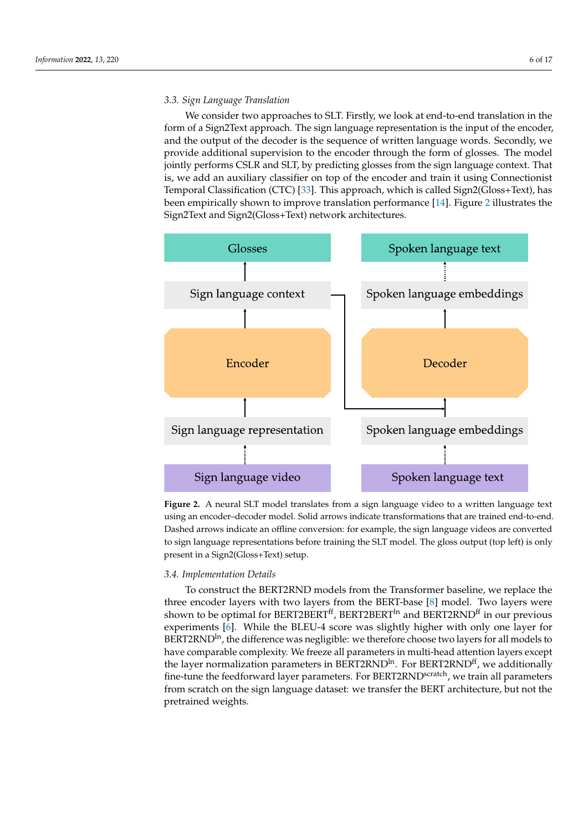# *3.3. Sign Language Translation*

We consider two approaches to SLT. Firstly, we look at end-to-end translation in the form of a Sign2Text approach. The sign language representation is the input of the encoder, and the output of the decoder is the sequence of written language words. Secondly, we provide additional supervision to the encoder through the form of glosses. The model jointly performs CSLR and SLT, by predicting glosses from the sign language context. That is, we add an auxiliary classifier on top of the encoder and train it using Connectionist Temporal Classification (CTC) [\[33\]](#page-16-13). This approach, which is called Sign2(Gloss+Text), has been empirically shown to improve translation performance [\[14\]](#page-15-13). Figure [2](#page-5-0) illustrates the Sign2Text and Sign2(Gloss+Text) network architectures.

<span id="page-5-0"></span>

**Figure 2.** A neural SLT model translates from a sign language video to a written language text using an encoder–decoder model. Solid arrows indicate transformations that are trained end-to-end. Dashed arrows indicate an offline conversion: for example, the sign language videos are converted to sign language representations before training the SLT model. The gloss output (top left) is only present in a Sign2(Gloss+Text) setup.

# *3.4. Implementation Details*

To construct the BERT2RND models from the Transformer baseline, we replace the three encoder layers with two layers from the BERT-base [\[8\]](#page-15-7) model. Two layers were shown to be optimal for BERT2BERT<sup>ff</sup>, BERT2BERT<sup>In</sup> and BERT2RND<sup>ff</sup> in our previous experiments [\[6\]](#page-15-5). While the BLEU-4 score was slightly higher with only one layer for BERT2RND<sup>In</sup>, the difference was negligible: we therefore choose two layers for all models to have comparable complexity. We freeze all parameters in multi-head attention layers except the layer normalization parameters in BERT2RND<sup>In</sup>. For BERT2RND<sup>If</sup>, we additionally fine-tune the feedforward layer parameters. For BERT2RND<sup>scratch</sup>, we train all parameters from scratch on the sign language dataset: we transfer the BERT architecture, but not the pretrained weights.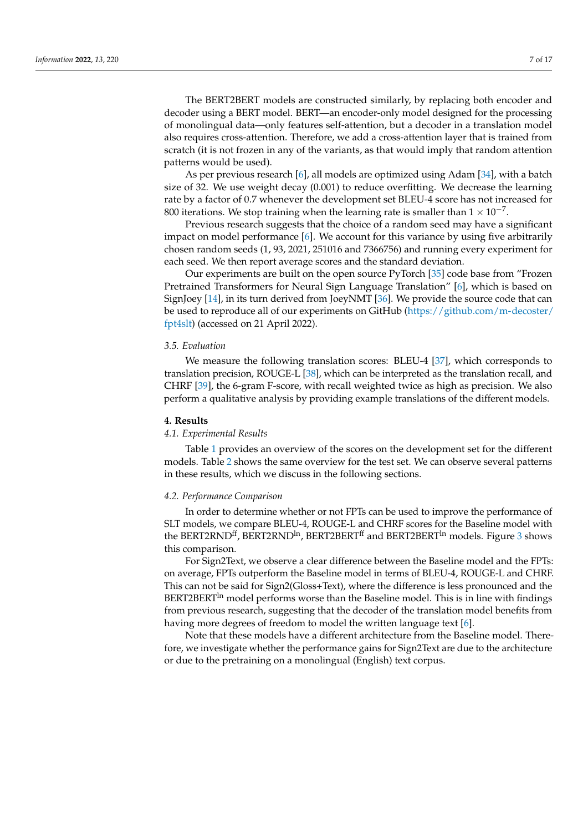The BERT2BERT models are constructed similarly, by replacing both encoder and decoder using a BERT model. BERT—an encoder-only model designed for the processing of monolingual data—only features self-attention, but a decoder in a translation model also requires cross-attention. Therefore, we add a cross-attention layer that is trained from scratch (it is not frozen in any of the variants, as that would imply that random attention patterns would be used).

As per previous research [\[6\]](#page-15-5), all models are optimized using Adam [\[34\]](#page-16-14), with a batch size of 32. We use weight decay (0.001) to reduce overfitting. We decrease the learning rate by a factor of 0.7 whenever the development set BLEU-4 score has not increased for 800 iterations. We stop training when the learning rate is smaller than  $1 \times 10^{-7}$ .

Previous research suggests that the choice of a random seed may have a significant impact on model performance [\[6\]](#page-15-5). We account for this variance by using five arbitrarily chosen random seeds (1, 93, 2021, 251016 and 7366756) and running every experiment for each seed. We then report average scores and the standard deviation.

Our experiments are built on the open source PyTorch [\[35\]](#page-16-15) code base from "Frozen Pretrained Transformers for Neural Sign Language Translation" [\[6\]](#page-15-5), which is based on SignJoey [\[14\]](#page-15-13), in its turn derived from JoeyNMT [\[36\]](#page-16-16). We provide the source code that can be used to reproduce all of our experiments on GitHub [\(https://github.com/m-decoster/](https://github.com/m-decoster/fpt4slt) [fpt4slt\)](https://github.com/m-decoster/fpt4slt) (accessed on 21 April 2022).

#### *3.5. Evaluation*

We measure the following translation scores: BLEU-4 [\[37\]](#page-16-17), which corresponds to translation precision, ROUGE-L [\[38\]](#page-16-18), which can be interpreted as the translation recall, and CHRF [\[39\]](#page-16-19), the 6-gram F-score, with recall weighted twice as high as precision. We also perform a qualitative analysis by providing example translations of the different models.

#### **4. Results**

#### *4.1. Experimental Results*

Table [1](#page-7-0) provides an overview of the scores on the development set for the different models. Table [2](#page-7-1) shows the same overview for the test set. We can observe several patterns in these results, which we discuss in the following sections.

#### *4.2. Performance Comparison*

In order to determine whether or not FPTs can be used to improve the performance of SLT models, we compare BLEU-4, ROUGE-L and CHRF scores for the Baseline model with the BERT2RND<sup>ff</sup>, BERT2RND<sup>In</sup>, BERT2BERT<sup>ff</sup> and BERT2BERT<sup>In</sup> models. Figure [3](#page-8-0) shows this comparison.

For Sign2Text, we observe a clear difference between the Baseline model and the FPTs: on average, FPTs outperform the Baseline model in terms of BLEU-4, ROUGE-L and CHRF. This can not be said for Sign2(Gloss+Text), where the difference is less pronounced and the  $BERT2BERT<sup>in</sup> model performs worse than the Baseline model. This is in line with findings$ from previous research, suggesting that the decoder of the translation model benefits from having more degrees of freedom to model the written language text [\[6\]](#page-15-5).

Note that these models have a different architecture from the Baseline model. Therefore, we investigate whether the performance gains for Sign2Text are due to the architecture or due to the pretraining on a monolingual (English) text corpus.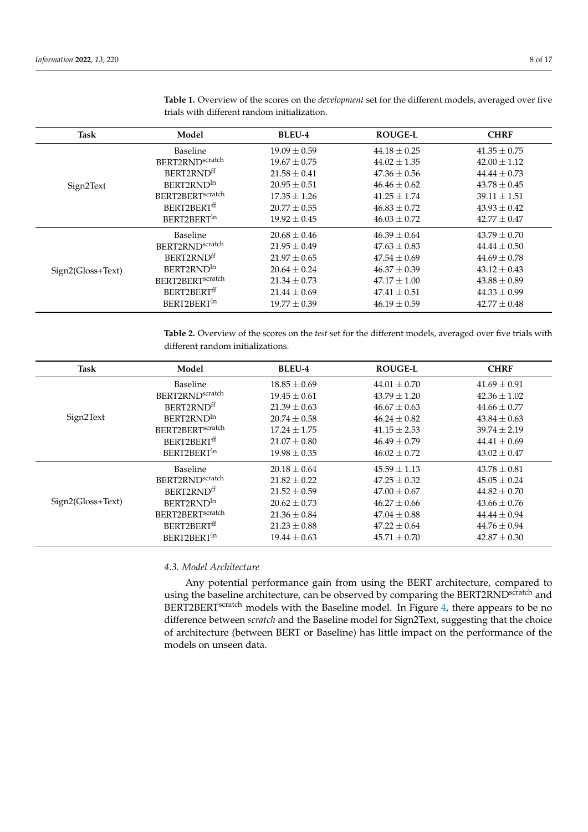| Task              | Model                        | <b>BLEU-4</b>    | <b>ROUGE-L</b>   | <b>CHRF</b>      |
|-------------------|------------------------------|------------------|------------------|------------------|
|                   | <b>Baseline</b>              | $19.09 \pm 0.59$ | $44.18 \pm 0.25$ | $41.35 \pm 0.75$ |
|                   | BERT2RNDscratch              | $19.67 \pm 0.75$ | $44.02 \pm 1.35$ | $42.00 \pm 1.12$ |
|                   | BERT2RND <sup>ff</sup>       | $21.58 \pm 0.41$ | $47.36 \pm 0.56$ | $44.44 \pm 0.73$ |
| Sign2Text         | BERT2RND <sup>In</sup>       | $20.95 \pm 0.51$ | $46.46 \pm 0.62$ | $43.78 \pm 0.45$ |
|                   | BERT2BERT <sup>scratch</sup> | $17.35 \pm 1.26$ | $41.25 \pm 1.74$ | $39.11 \pm 1.51$ |
|                   | BERT2BERT <sup>ff</sup>      | $20.77 \pm 0.55$ | $46.83 \pm 0.72$ | $43.93 \pm 0.42$ |
|                   | BERT2BERT <sup>In</sup>      | $19.92 \pm 0.45$ | $46.03 \pm 0.72$ | $42.77 \pm 0.47$ |
|                   | Baseline                     | $20.68 \pm 0.46$ | $46.39 \pm 0.64$ | $43.79 \pm 0.70$ |
|                   | BERT2RNDscratch              | $21.95 \pm 0.49$ | $47.63 \pm 0.83$ | $44.44 \pm 0.50$ |
|                   | BERT2RND <sup>ff</sup>       | $21.97 \pm 0.65$ | $47.54 \pm 0.69$ | $44.69 \pm 0.78$ |
| Sign2(Gloss+Text) | BERT2RND <sup>In</sup>       | $20.64 \pm 0.24$ | $46.37 \pm 0.39$ | $43.12 \pm 0.43$ |
|                   | BERT2BERT <sup>scratch</sup> | $21.34 \pm 0.73$ | $47.17 \pm 1.00$ | $43.88 \pm 0.89$ |
|                   | BERT2BERT <sup>ff</sup>      | $21.44 \pm 0.69$ | $47.41 \pm 0.51$ | $44.33 \pm 0.99$ |
|                   | BERT2BERT <sup>In</sup>      | $19.77 \pm 0.39$ | $46.19 \pm 0.59$ | $42.77 \pm 0.48$ |

<span id="page-7-0"></span>**Table 1.** Overview of the scores on the *development* set for the different models, averaged over five trials with different random initialization.

<span id="page-7-1"></span>**Table 2.** Overview of the scores on the *test* set for the different models, averaged over five trials with different random initializations.

| Task              | Model                        | <b>BLEU-4</b>    | <b>ROUGE-L</b>   | <b>CHRF</b>      |
|-------------------|------------------------------|------------------|------------------|------------------|
|                   | <b>Baseline</b>              | $18.85 \pm 0.69$ | $44.01 + 0.70$   | $41.69 + 0.91$   |
|                   | BERT2RNDscratch              | $19.45 \pm 0.61$ | $43.79 \pm 1.20$ | $42.36 \pm 1.02$ |
|                   | BERT2RNDff                   | $21.39 \pm 0.63$ | $46.67 \pm 0.63$ | $44.66 \pm 0.77$ |
| Sign2Text         | BERT2RND <sup>In</sup>       | $20.74 \pm 0.58$ | $46.24 \pm 0.82$ | $43.84 \pm 0.63$ |
|                   | BERT2BERT <sup>scratch</sup> | $17.24 + 1.75$   | $41.15 + 2.53$   | $39.74 + 2.19$   |
|                   | BERT2BERT <sup>ff</sup>      | $21.07 \pm 0.80$ | $46.49 \pm 0.79$ | $44.41 \pm 0.69$ |
|                   | BERT2BERT <sup>In</sup>      | $19.98 \pm 0.35$ | $46.02 + 0.72$   | $43.02 \pm 0.47$ |
|                   | Baseline                     | $20.18 \pm 0.64$ | $45.59 \pm 1.13$ | $43.78 \pm 0.81$ |
|                   | BERT2RNDscratch              | $21.82 \pm 0.22$ | $47.25 \pm 0.32$ | $45.05 \pm 0.24$ |
|                   | BERT2RND <sup>ff</sup>       | $21.52 \pm 0.59$ | $47.00 \pm 0.67$ | $44.82 \pm 0.70$ |
| Sign2(Gloss+Text) | BERT2RND <sup>In</sup>       | $20.62 \pm 0.73$ | $46.27 \pm 0.66$ | $43.66 \pm 0.76$ |
|                   | BERT2BERT <sup>scratch</sup> | $21.36 \pm 0.84$ | $47.04 \pm 0.88$ | $44.44 \pm 0.94$ |
|                   | BERT2BERTff                  | $21.23 \pm 0.88$ | $47.22 \pm 0.64$ | $44.76 \pm 0.94$ |
|                   | BERT2BERT <sup>In</sup>      | $19.44 \pm 0.63$ | $45.71 \pm 0.70$ | $42.87 \pm 0.30$ |

# *4.3. Model Architecture*

Any potential performance gain from using the BERT architecture, compared to using the baseline architecture, can be observed by comparing the BERT2RND<sup>scratch</sup> and BERT2BERT<sup>scratch</sup> models with the Baseline model. In Figure [4,](#page-8-1) there appears to be no difference between *scratch* and the Baseline model for Sign2Text, suggesting that the choice of architecture (between BERT or Baseline) has little impact on the performance of the models on unseen data.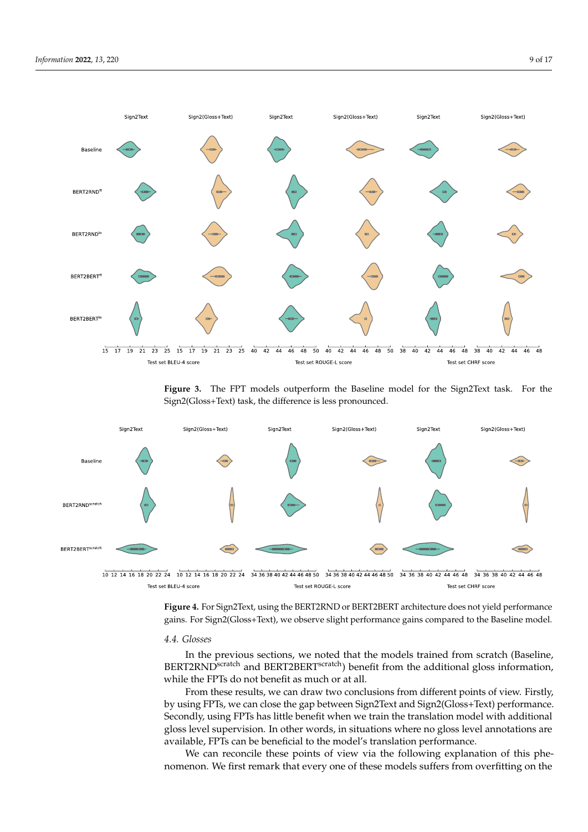<span id="page-8-0"></span>

<span id="page-8-1"></span>**Figure 3.** The FPT models outperform the Baseline model for the Sign2Text task. For the Sign2(Gloss+Text) task, the difference is less pronounced.



 $\frac{1}{10}$  12 14 16 18 20 22 24 10 12 14 16 18 20 22 24 34 36 38 40 42 44 46 48 50 34 36 38 40 42 44 46 48 50 34 36 38 40 42 44 46 48 50 34 36 38 40 42 44 46 48 34 36 38 40 42 44 46 48 34 36 38 40 42 44 46 48 50 34 36 38 Test set BLEU-4 score Test set ROUGE-L score Test set CHRF score

**Figure 4.** For Sign2Text, using the BERT2RND or BERT2BERT architecture does not yield performance gains. For Sign2(Gloss+Text), we observe slight performance gains compared to the Baseline model.

# *4.4. Glosses*

In the previous sections, we noted that the models trained from scratch (Baseline, BERT2RND<sup>scratch</sup> and BERT2BERT<sup>scratch</sup>) benefit from the additional gloss information, while the FPTs do not benefit as much or at all.

From these results, we can draw two conclusions from different points of view. Firstly, by using FPTs, we can close the gap between Sign2Text and Sign2(Gloss+Text) performance. Secondly, using FPTs has little benefit when we train the translation model with additional gloss level supervision. In other words, in situations where no gloss level annotations are available, FPTs can be beneficial to the model's translation performance.

We can reconcile these points of view via the following explanation of this phenomenon. We first remark that every one of these models suffers from overfitting on the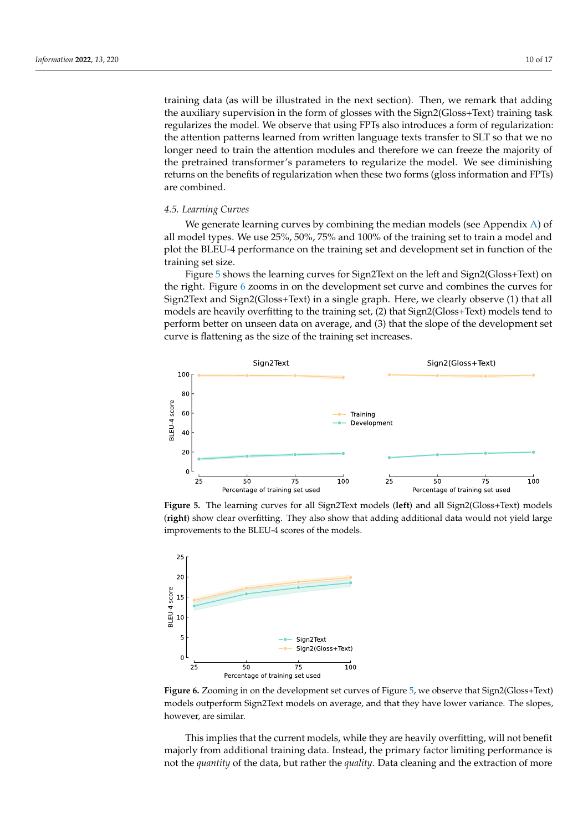training data (as will be illustrated in the next section). Then, we remark that adding the auxiliary supervision in the form of glosses with the Sign2(Gloss+Text) training task regularizes the model. We observe that using FPTs also introduces a form of regularization: the attention patterns learned from written language texts transfer to SLT so that we no longer need to train the attention modules and therefore we can freeze the majority of the pretrained transformer's parameters to regularize the model. We see diminishing returns on the benefits of regularization when these two forms (gloss information and FPTs) are combined.

#### *4.5. Learning Curves*

We generate learning curves by combining the median models (see Appendix  $A$ ) of all model types. We use 25%, 50%, 75% and 100% of the training set to train a model and plot the BLEU-4 performance on the training set and development set in function of the training set size.

Figure [5](#page-9-0) shows the learning curves for Sign2Text on the left and Sign2(Gloss+Text) on the right. Figure [6](#page-9-1) zooms in on the development set curve and combines the curves for Sign2Text and Sign2(Gloss+Text) in a single graph. Here, we clearly observe (1) that all models are heavily overfitting to the training set, (2) that Sign2(Gloss+Text) models tend to perform better on unseen data on average, and (3) that the slope of the development set curve is flattening as the size of the training set increases.

<span id="page-9-0"></span>

**Figure 5.** The learning curves for all Sign2Text models (**left**) and all Sign2(Gloss+Text) models (**right**) show clear overfitting. They also show that adding additional data would not yield large improvements to the BLEU-4 scores of the models.

<span id="page-9-1"></span>

**Figure 6.** Zooming in on the development set curves of Figure [5,](#page-9-0) we observe that Sign2(Gloss+Text) models outperform Sign2Text models on average, and that they have lower variance. The slopes, however, are similar.

This implies that the current models, while they are heavily overfitting, will not benefit majorly from additional training data. Instead, the primary factor limiting performance is not the *quantity* of the data, but rather the *quality*. Data cleaning and the extraction of more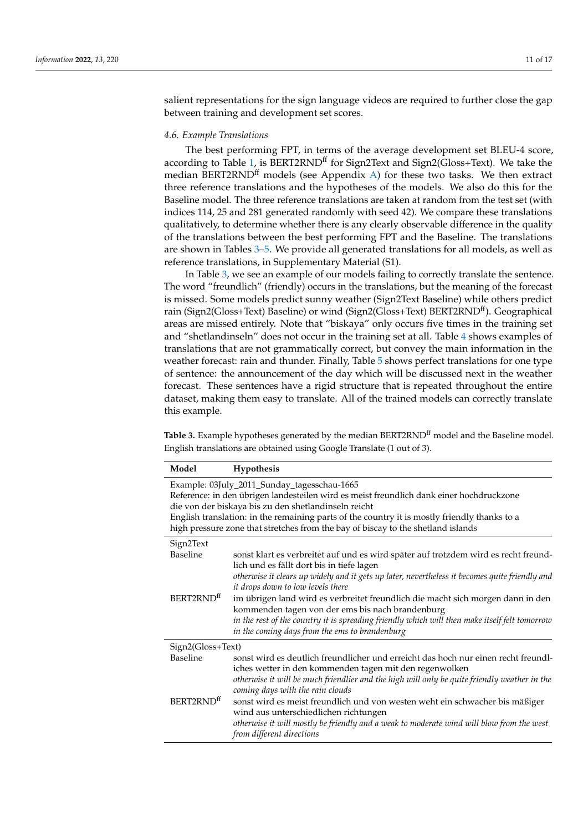salient representations for the sign language videos are required to further close the gap between training and development set scores.

# *4.6. Example Translations*

The best performing FPT, in terms of the average development set BLEU-4 score, according to Table [1,](#page-7-0) is BERT2RND<sup>ff</sup> for Sign2Text and Sign2(Gloss+Text). We take the median BERT2RND<sup>ff</sup> models (see Appendix [A\)](#page-14-0) for these two tasks. We then extract three reference translations and the hypotheses of the models. We also do this for the Baseline model. The three reference translations are taken at random from the test set (with indices 114, 25 and 281 generated randomly with seed 42). We compare these translations qualitatively, to determine whether there is any clearly observable difference in the quality of the translations between the best performing FPT and the Baseline. The translations are shown in Tables [3–](#page-10-0)[5.](#page-11-0) We provide all generated translations for all models, as well as reference translations, in Supplementary Material (S1).

In Table [3,](#page-10-0) we see an example of our models failing to correctly translate the sentence. The word "freundlich" (friendly) occurs in the translations, but the meaning of the forecast is missed. Some models predict sunny weather (Sign2Text Baseline) while others predict rain (Sign2(Gloss+Text) Baseline) or wind (Sign2(Gloss+Text) BERT2RND<sup>#</sup>). Geographical areas are missed entirely. Note that "biskaya" only occurs five times in the training set and "shetlandinseln" does not occur in the training set at all. Table [4](#page-11-1) shows examples of translations that are not grammatically correct, but convey the main information in the weather forecast: rain and thunder. Finally, Table [5](#page-11-0) shows perfect translations for one type of sentence: the announcement of the day which will be discussed next in the weather forecast. These sentences have a rigid structure that is repeated throughout the entire dataset, making them easy to translate. All of the trained models can correctly translate this example.

<span id="page-10-0"></span>Table 3. Example hypotheses generated by the median BERT2RND<sup>ff</sup> model and the Baseline model. English translations are obtained using Google Translate (1 out of 3).

| Model                                                                                                                                                                                                                                                                                                                                                                               | Hypothesis                                                                                                                                                                                                                                                                                                                                                                                                                                                                                                                                                        |  |  |
|-------------------------------------------------------------------------------------------------------------------------------------------------------------------------------------------------------------------------------------------------------------------------------------------------------------------------------------------------------------------------------------|-------------------------------------------------------------------------------------------------------------------------------------------------------------------------------------------------------------------------------------------------------------------------------------------------------------------------------------------------------------------------------------------------------------------------------------------------------------------------------------------------------------------------------------------------------------------|--|--|
| Example: 03July_2011_Sunday_tagesschau-1665<br>Reference: in den übrigen landesteilen wird es meist freundlich dank einer hochdruckzone<br>die von der biskaya bis zu den shetlandinseln reicht<br>English translation: in the remaining parts of the country it is mostly friendly thanks to a<br>high pressure zone that stretches from the bay of biscay to the shetland islands |                                                                                                                                                                                                                                                                                                                                                                                                                                                                                                                                                                   |  |  |
| Sign2Text<br>Baseline<br>BERT2RND <sup>ff</sup>                                                                                                                                                                                                                                                                                                                                     | sonst klart es verbreitet auf und es wird später auf trotzdem wird es recht freund-<br>lich und es fällt dort bis in tiefe lagen<br>otherwise it clears up widely and it gets up later, nevertheless it becomes quite friendly and<br>it drops down to low levels there<br>im übrigen land wird es verbreitet freundlich die macht sich morgen dann in den<br>kommenden tagen von der ems bis nach brandenburg<br>in the rest of the country it is spreading friendly which will then make itself felt tomorrow<br>in the coming days from the ems to brandenburg |  |  |
| Sign2(Gloss+Text)<br>Baseline<br>BERT2RND <sup>#</sup>                                                                                                                                                                                                                                                                                                                              | sonst wird es deutlich freundlicher und erreicht das hoch nur einen recht freundl-<br>iches wetter in den kommenden tagen mit den regenwolken<br>otherwise it will be much friendlier and the high will only be quite friendly weather in the<br>coming days with the rain clouds<br>sonst wird es meist freundlich und von westen weht ein schwacher bis mäßiger<br>wind aus unterschiedlichen richtungen<br>otherwise it will mostly be friendly and a weak to moderate wind will blow from the west<br>from different directions                               |  |  |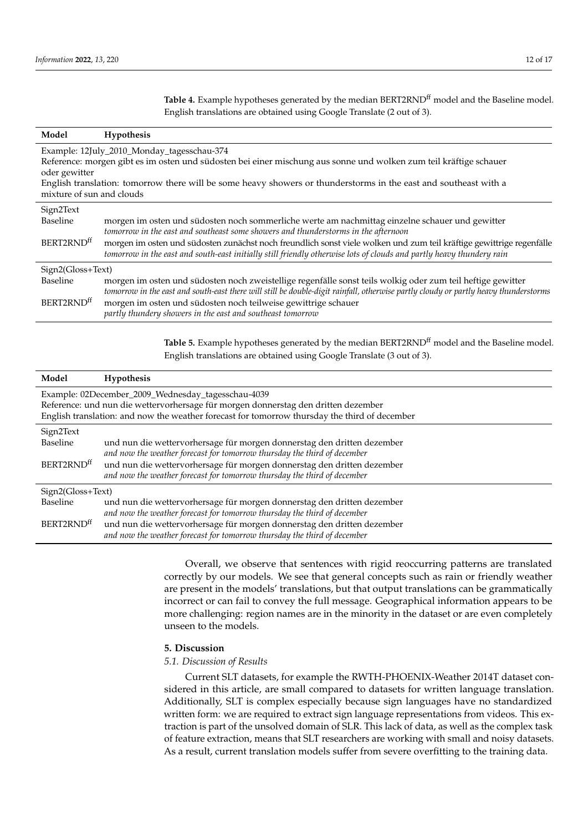<span id="page-11-1"></span>Table 4. Example hypotheses generated by the median BERT2RND<sup>ff</sup> model and the Baseline model. English translations are obtained using Google Translate (2 out of 3).

| Model                                                                                                                                                                                                                                                                                                                             | Hypothesis                                                                                                                                                                                                                                                                                                                                                                                                                            |  |  |
|-----------------------------------------------------------------------------------------------------------------------------------------------------------------------------------------------------------------------------------------------------------------------------------------------------------------------------------|---------------------------------------------------------------------------------------------------------------------------------------------------------------------------------------------------------------------------------------------------------------------------------------------------------------------------------------------------------------------------------------------------------------------------------------|--|--|
| Example: 12July_2010_Monday_tagesschau-374<br>Reference: morgen gibt es im osten und südosten bei einer mischung aus sonne und wolken zum teil kräftige schauer<br>oder gewitter<br>English translation: tomorrow there will be some heavy showers or thunderstorms in the east and southeast with a<br>mixture of sun and clouds |                                                                                                                                                                                                                                                                                                                                                                                                                                       |  |  |
| Sign2Text<br>Baseline<br>BERT2RND <sup>ff</sup>                                                                                                                                                                                                                                                                                   | morgen im osten und südosten noch sommerliche werte am nachmittag einzelne schauer und gewitter<br>tomorrow in the east and southeast some showers and thunderstorms in the afternoon<br>morgen im osten und südosten zunächst noch freundlich sonst viele wolken und zum teil kräftige gewittrige regenfälle<br>tomorrow in the east and south-east initially still friendly otherwise lots of clouds and partly heavy thundery rain |  |  |
| Sign2(Gloss+Text)<br>Baseline<br>BERT2RND <sup>ff</sup>                                                                                                                                                                                                                                                                           | morgen im osten und südosten noch zweistellige regenfälle sonst teils wolkig oder zum teil heftige gewitter<br>tomorrow in the east and south-east there will still be double-digit rainfall, otherwise partly cloudy or partly heavy thunderstorms<br>morgen im osten und südosten noch teilweise gewittrige schauer<br>partly thundery showers in the east and southeast tomorrow                                                   |  |  |

<span id="page-11-0"></span>Table 5. Example hypotheses generated by the median BERT2RND<sup>ff</sup> model and the Baseline model. English translations are obtained using Google Translate (3 out of 3).

| Model                                                                                                                                    | <b>Hypothesis</b>                                                        |  |  |
|------------------------------------------------------------------------------------------------------------------------------------------|--------------------------------------------------------------------------|--|--|
| Example: 02December_2009_Wednesday_tagesschau-4039<br>Reference: und nun die wettervorhersage für morgen donnerstag den dritten dezember |                                                                          |  |  |
| English translation: and now the weather forecast for tomorrow thursday the third of december                                            |                                                                          |  |  |
| Sign2Text                                                                                                                                |                                                                          |  |  |
| Baseline                                                                                                                                 | und nun die wettervorhersage für morgen donnerstag den dritten dezember  |  |  |
|                                                                                                                                          | and now the weather forecast for tomorrow thursday the third of december |  |  |
| BERT2RND <sup>#</sup>                                                                                                                    | und nun die wettervorhersage für morgen donnerstag den dritten dezember  |  |  |
|                                                                                                                                          | and now the weather forecast for tomorrow thursday the third of december |  |  |
| Sign2(Gloss+Text)                                                                                                                        |                                                                          |  |  |
| Baseline                                                                                                                                 | und nun die wettervorhersage für morgen donnerstag den dritten dezember  |  |  |
|                                                                                                                                          | and now the weather forecast for tomorrow thursday the third of december |  |  |
| BERT2RND <sup>#</sup>                                                                                                                    | und nun die wettervorhersage für morgen donnerstag den dritten dezember  |  |  |
|                                                                                                                                          | and now the weather forecast for tomorrow thursday the third of december |  |  |

Overall, we observe that sentences with rigid reoccurring patterns are translated correctly by our models. We see that general concepts such as rain or friendly weather are present in the models' translations, but that output translations can be grammatically incorrect or can fail to convey the full message. Geographical information appears to be more challenging: region names are in the minority in the dataset or are even completely unseen to the models.

# **5. Discussion**

# *5.1. Discussion of Results*

Current SLT datasets, for example the RWTH-PHOENIX-Weather 2014T dataset considered in this article, are small compared to datasets for written language translation. Additionally, SLT is complex especially because sign languages have no standardized written form: we are required to extract sign language representations from videos. This extraction is part of the unsolved domain of SLR. This lack of data, as well as the complex task of feature extraction, means that SLT researchers are working with small and noisy datasets. As a result, current translation models suffer from severe overfitting to the training data.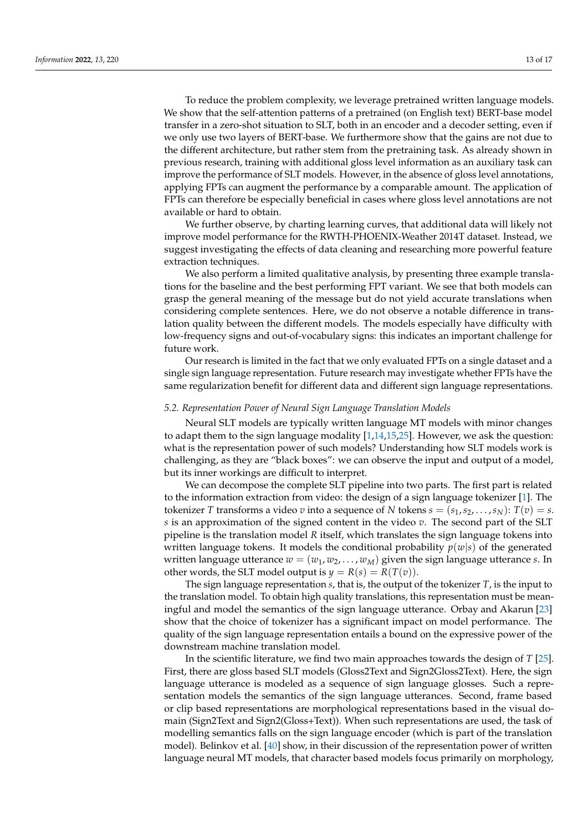To reduce the problem complexity, we leverage pretrained written language models. We show that the self-attention patterns of a pretrained (on English text) BERT-base model transfer in a zero-shot situation to SLT, both in an encoder and a decoder setting, even if we only use two layers of BERT-base. We furthermore show that the gains are not due to the different architecture, but rather stem from the pretraining task. As already shown in previous research, training with additional gloss level information as an auxiliary task can improve the performance of SLT models. However, in the absence of gloss level annotations, applying FPTs can augment the performance by a comparable amount. The application of FPTs can therefore be especially beneficial in cases where gloss level annotations are not available or hard to obtain.

We further observe, by charting learning curves, that additional data will likely not improve model performance for the RWTH-PHOENIX-Weather 2014T dataset. Instead, we suggest investigating the effects of data cleaning and researching more powerful feature extraction techniques.

We also perform a limited qualitative analysis, by presenting three example translations for the baseline and the best performing FPT variant. We see that both models can grasp the general meaning of the message but do not yield accurate translations when considering complete sentences. Here, we do not observe a notable difference in translation quality between the different models. The models especially have difficulty with low-frequency signs and out-of-vocabulary signs: this indicates an important challenge for future work.

Our research is limited in the fact that we only evaluated FPTs on a single dataset and a single sign language representation. Future research may investigate whether FPTs have the same regularization benefit for different data and different sign language representations.

# *5.2. Representation Power of Neural Sign Language Translation Models*

Neural SLT models are typically written language MT models with minor changes to adapt them to the sign language modality [\[1](#page-15-0)[,14](#page-15-13)[,15](#page-15-14)[,25\]](#page-16-5). However, we ask the question: what is the representation power of such models? Understanding how SLT models work is challenging, as they are "black boxes": we can observe the input and output of a model, but its inner workings are difficult to interpret.

We can decompose the complete SLT pipeline into two parts. The first part is related to the information extraction from video: the design of a sign language tokenizer [\[1\]](#page-15-0). The tokenizer *T* transforms a video *v* into a sequence of *N* tokens  $s = (s_1, s_2, \ldots, s_N)$ :  $T(v) = s$ . *s* is an approximation of the signed content in the video *v*. The second part of the SLT pipeline is the translation model *R* itself, which translates the sign language tokens into written language tokens. It models the conditional probability  $p(w|s)$  of the generated written language utterance  $w = (w_1, w_2, \dots, w_M)$  given the sign language utterance *s*. In other words, the SLT model output is  $y = R(s) = R(T(v))$ .

The sign language representation *s*, that is, the output of the tokenizer *T*, is the input to the translation model. To obtain high quality translations, this representation must be meaningful and model the semantics of the sign language utterance. Orbay and Akarun [\[23\]](#page-16-4) show that the choice of tokenizer has a significant impact on model performance. The quality of the sign language representation entails a bound on the expressive power of the downstream machine translation model.

In the scientific literature, we find two main approaches towards the design of *T* [\[25\]](#page-16-5). First, there are gloss based SLT models (Gloss2Text and Sign2Gloss2Text). Here, the sign language utterance is modeled as a sequence of sign language glosses. Such a representation models the semantics of the sign language utterances. Second, frame based or clip based representations are morphological representations based in the visual domain (Sign2Text and Sign2(Gloss+Text)). When such representations are used, the task of modelling semantics falls on the sign language encoder (which is part of the translation model). Belinkov et al. [\[40\]](#page-16-20) show, in their discussion of the representation power of written language neural MT models, that character based models focus primarily on morphology,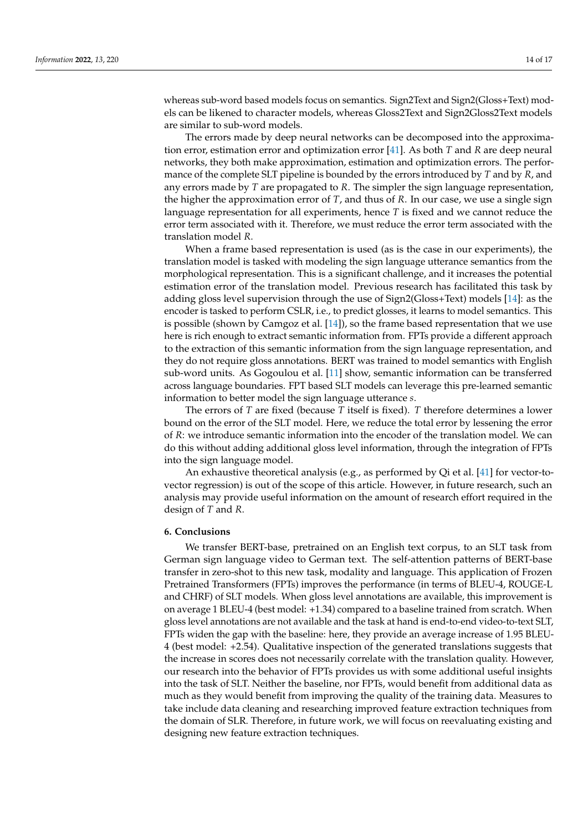whereas sub-word based models focus on semantics. Sign2Text and Sign2(Gloss+Text) models can be likened to character models, whereas Gloss2Text and Sign2Gloss2Text models are similar to sub-word models.

The errors made by deep neural networks can be decomposed into the approximation error, estimation error and optimization error [\[41\]](#page-16-21). As both *T* and *R* are deep neural networks, they both make approximation, estimation and optimization errors. The performance of the complete SLT pipeline is bounded by the errors introduced by *T* and by *R*, and any errors made by *T* are propagated to *R*. The simpler the sign language representation, the higher the approximation error of *T*, and thus of *R*. In our case, we use a single sign language representation for all experiments, hence *T* is fixed and we cannot reduce the error term associated with it. Therefore, we must reduce the error term associated with the translation model *R*.

When a frame based representation is used (as is the case in our experiments), the translation model is tasked with modeling the sign language utterance semantics from the morphological representation. This is a significant challenge, and it increases the potential estimation error of the translation model. Previous research has facilitated this task by adding gloss level supervision through the use of Sign2(Gloss+Text) models [\[14\]](#page-15-13): as the encoder is tasked to perform CSLR, i.e., to predict glosses, it learns to model semantics. This is possible (shown by Camgoz et al.  $[14]$ ), so the frame based representation that we use here is rich enough to extract semantic information from. FPTs provide a different approach to the extraction of this semantic information from the sign language representation, and they do not require gloss annotations. BERT was trained to model semantics with English sub-word units. As Gogoulou et al. [\[11\]](#page-15-10) show, semantic information can be transferred across language boundaries. FPT based SLT models can leverage this pre-learned semantic information to better model the sign language utterance *s*.

The errors of *T* are fixed (because *T* itself is fixed). *T* therefore determines a lower bound on the error of the SLT model. Here, we reduce the total error by lessening the error of *R*: we introduce semantic information into the encoder of the translation model. We can do this without adding additional gloss level information, through the integration of FPTs into the sign language model.

An exhaustive theoretical analysis (e.g., as performed by Qi et al. [\[41\]](#page-16-21) for vector-tovector regression) is out of the scope of this article. However, in future research, such an analysis may provide useful information on the amount of research effort required in the design of *T* and *R*.

## **6. Conclusions**

We transfer BERT-base, pretrained on an English text corpus, to an SLT task from German sign language video to German text. The self-attention patterns of BERT-base transfer in zero-shot to this new task, modality and language. This application of Frozen Pretrained Transformers (FPTs) improves the performance (in terms of BLEU-4, ROUGE-L and CHRF) of SLT models. When gloss level annotations are available, this improvement is on average 1 BLEU-4 (best model: +1.34) compared to a baseline trained from scratch. When gloss level annotations are not available and the task at hand is end-to-end video-to-text SLT, FPTs widen the gap with the baseline: here, they provide an average increase of 1.95 BLEU-4 (best model: +2.54). Qualitative inspection of the generated translations suggests that the increase in scores does not necessarily correlate with the translation quality. However, our research into the behavior of FPTs provides us with some additional useful insights into the task of SLT. Neither the baseline, nor FPTs, would benefit from additional data as much as they would benefit from improving the quality of the training data. Measures to take include data cleaning and researching improved feature extraction techniques from the domain of SLR. Therefore, in future work, we will focus on reevaluating existing and designing new feature extraction techniques.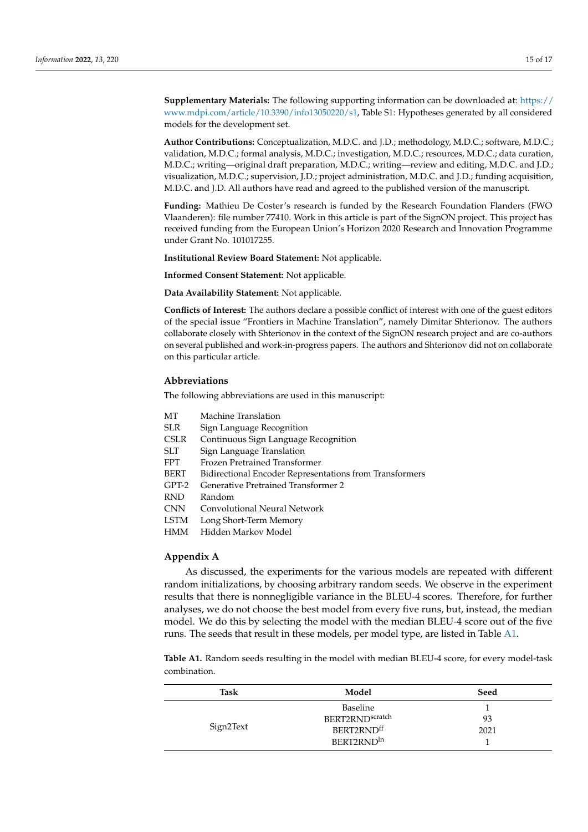**Supplementary Materials:** The following supporting information can be downloaded at: [https://](https://www.mdpi.com/article/10.3390/info13050220/s1) [www.mdpi.com/article/10.3390/info13050220/s1,](https://www.mdpi.com/article/10.3390/info13050220/s1) Table S1: Hypotheses generated by all considered models for the development set.

**Author Contributions:** Conceptualization, M.D.C. and J.D.; methodology, M.D.C.; software, M.D.C.; validation, M.D.C.; formal analysis, M.D.C.; investigation, M.D.C.; resources, M.D.C.; data curation, M.D.C.; writing—original draft preparation, M.D.C.; writing—review and editing, M.D.C. and J.D.; visualization, M.D.C.; supervision, J.D.; project administration, M.D.C. and J.D.; funding acquisition, M.D.C. and J.D. All authors have read and agreed to the published version of the manuscript.

**Funding:** Mathieu De Coster's research is funded by the Research Foundation Flanders (FWO Vlaanderen): file number 77410. Work in this article is part of the SignON project. This project has received funding from the European Union's Horizon 2020 Research and Innovation Programme under Grant No. 101017255.

**Institutional Review Board Statement:** Not applicable.

**Informed Consent Statement:** Not applicable.

**Data Availability Statement:** Not applicable.

**Conflicts of Interest:** The authors declare a possible conflict of interest with one of the guest editors of the special issue "Frontiers in Machine Translation", namely Dimitar Shterionov. The authors collaborate closely with Shterionov in the context of the SignON research project and are co-authors on several published and work-in-progress papers. The authors and Shterionov did not on collaborate on this particular article.

#### **Abbreviations**

The following abbreviations are used in this manuscript:

- MT Machine Translation
- SLR Sign Language Recognition
- CSLR Continuous Sign Language Recognition
- SLT Sign Language Translation
- FPT Frozen Pretrained Transformer
- BERT Bidirectional Encoder Representations from Transformers
- GPT-2 Generative Pretrained Transformer 2
- RND Random
- CNN Convolutional Neural Network
- LSTM Long Short-Term Memory
- HMM Hidden Markov Model

# <span id="page-14-0"></span>**Appendix A**

As discussed, the experiments for the various models are repeated with different random initializations, by choosing arbitrary random seeds. We observe in the experiment results that there is nonnegligible variance in the BLEU-4 scores. Therefore, for further analyses, we do not choose the best model from every five runs, but, instead, the median model. We do this by selecting the model with the median BLEU-4 score out of the five runs. The seeds that result in these models, per model type, are listed in Table [A1.](#page-15-16)

**Table A1.** Random seeds resulting in the model with median BLEU-4 score, for every model-task combination.

| Task      | Model                       | Seed |
|-----------|-----------------------------|------|
|           | Baseline                    |      |
|           | BERT2RND <sup>scratch</sup> | 93   |
| Sign2Text | BERT2RNDff                  | 2021 |
|           | BERT2RND <sup>In</sup>      |      |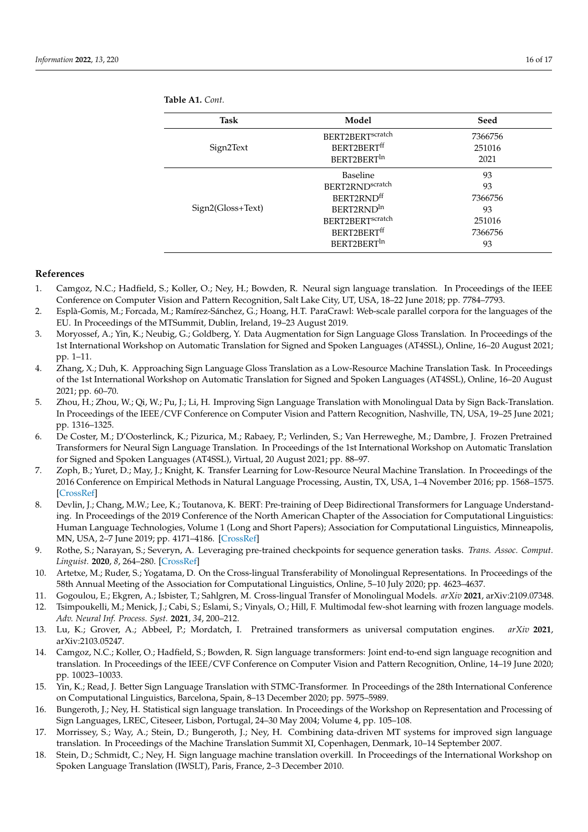<span id="page-15-16"></span>**Table A1.** *Cont.*

| <b>Task</b>       | Model                        | Seed    |
|-------------------|------------------------------|---------|
|                   | BERT2BERT <sup>scratch</sup> | 7366756 |
| Sign2Text         | BERT2BERT <sup>ff</sup>      | 251016  |
|                   | BERT2BERT <sup>In</sup>      | 2021    |
|                   | <b>Baseline</b>              | 93      |
|                   | BERT2RND <sup>scratch</sup>  | 93      |
|                   | BERT2RNDff                   | 7366756 |
| Sign2(Gloss+Text) | BERT2RND <sup>In</sup>       | 93      |
|                   | BERT2BERT <sup>scratch</sup> | 251016  |
|                   | BERT2BERTff                  | 7366756 |
|                   | BERT2BERT <sup>In</sup>      | 93      |

# **References**

- <span id="page-15-0"></span>1. Camgoz, N.C.; Hadfield, S.; Koller, O.; Ney, H.; Bowden, R. Neural sign language translation. In Proceedings of the IEEE Conference on Computer Vision and Pattern Recognition, Salt Lake City, UT, USA, 18–22 June 2018; pp. 7784–7793.
- <span id="page-15-1"></span>2. Esplà-Gomis, M.; Forcada, M.; Ramírez-Sánchez, G.; Hoang, H.T. ParaCrawl: Web-scale parallel corpora for the languages of the EU. In Proceedings of the MTSummit, Dublin, Ireland, 19–23 August 2019.
- <span id="page-15-2"></span>3. Moryossef, A.; Yin, K.; Neubig, G.; Goldberg, Y. Data Augmentation for Sign Language Gloss Translation. In Proceedings of the 1st International Workshop on Automatic Translation for Signed and Spoken Languages (AT4SSL), Online, 16–20 August 2021; pp. 1–11.
- <span id="page-15-3"></span>4. Zhang, X.; Duh, K. Approaching Sign Language Gloss Translation as a Low-Resource Machine Translation Task. In Proceedings of the 1st International Workshop on Automatic Translation for Signed and Spoken Languages (AT4SSL), Online, 16–20 August 2021; pp. 60–70.
- <span id="page-15-4"></span>5. Zhou, H.; Zhou, W.; Qi, W.; Pu, J.; Li, H. Improving Sign Language Translation with Monolingual Data by Sign Back-Translation. In Proceedings of the IEEE/CVF Conference on Computer Vision and Pattern Recognition, Nashville, TN, USA, 19–25 June 2021; pp. 1316–1325.
- <span id="page-15-5"></span>6. De Coster, M.; D'Oosterlinck, K.; Pizurica, M.; Rabaey, P.; Verlinden, S.; Van Herreweghe, M.; Dambre, J. Frozen Pretrained Transformers for Neural Sign Language Translation. In Proceedings of the 1st International Workshop on Automatic Translation for Signed and Spoken Languages (AT4SSL), Virtual, 20 August 2021; pp. 88–97.
- <span id="page-15-6"></span>7. Zoph, B.; Yuret, D.; May, J.; Knight, K. Transfer Learning for Low-Resource Neural Machine Translation. In Proceedings of the 2016 Conference on Empirical Methods in Natural Language Processing, Austin, TX, USA, 1–4 November 2016; pp. 1568–1575. [\[CrossRef\]](http://doi.org/10.18653/v1/D16-1163)
- <span id="page-15-7"></span>8. Devlin, J.; Chang, M.W.; Lee, K.; Toutanova, K. BERT: Pre-training of Deep Bidirectional Transformers for Language Understanding. In Proceedings of the 2019 Conference of the North American Chapter of the Association for Computational Linguistics: Human Language Technologies, Volume 1 (Long and Short Papers); Association for Computational Linguistics, Minneapolis, MN, USA, 2–7 June 2019; pp. 4171–4186. [\[CrossRef\]](http://dx.doi.org/10.18653/v1/N19-1423)
- <span id="page-15-8"></span>9. Rothe, S.; Narayan, S.; Severyn, A. Leveraging pre-trained checkpoints for sequence generation tasks. *Trans. Assoc. Comput. Linguist.* **2020**, *8*, 264–280. [\[CrossRef\]](http://dx.doi.org/10.1162/tacl_a_00313)
- <span id="page-15-9"></span>10. Artetxe, M.; Ruder, S.; Yogatama, D. On the Cross-lingual Transferability of Monolingual Representations. In Proceedings of the 58th Annual Meeting of the Association for Computational Linguistics, Online, 5–10 July 2020; pp. 4623–4637.
- <span id="page-15-10"></span>11. Gogoulou, E.; Ekgren, A.; Isbister, T.; Sahlgren, M. Cross-lingual Transfer of Monolingual Models. *arXiv* **2021**, arXiv:2109.07348.
- <span id="page-15-11"></span>12. Tsimpoukelli, M.; Menick, J.; Cabi, S.; Eslami, S.; Vinyals, O.; Hill, F. Multimodal few-shot learning with frozen language models. *Adv. Neural Inf. Process. Syst.* **2021**, *34*, 200–212.
- <span id="page-15-12"></span>13. Lu, K.; Grover, A.; Abbeel, P.; Mordatch, I. Pretrained transformers as universal computation engines. *arXiv* **2021**, arXiv:2103.05247.
- <span id="page-15-13"></span>14. Camgoz, N.C.; Koller, O.; Hadfield, S.; Bowden, R. Sign language transformers: Joint end-to-end sign language recognition and translation. In Proceedings of the IEEE/CVF Conference on Computer Vision and Pattern Recognition, Online, 14–19 June 2020; pp. 10023–10033.
- <span id="page-15-14"></span>15. Yin, K.; Read, J. Better Sign Language Translation with STMC-Transformer. In Proceedings of the 28th International Conference on Computational Linguistics, Barcelona, Spain, 8–13 December 2020; pp. 5975–5989.
- <span id="page-15-15"></span>16. Bungeroth, J.; Ney, H. Statistical sign language translation. In Proceedings of the Workshop on Representation and Processing of Sign Languages, LREC, Citeseer, Lisbon, Portugal, 24–30 May 2004; Volume 4, pp. 105–108.
- 17. Morrissey, S.; Way, A.; Stein, D.; Bungeroth, J.; Ney, H. Combining data-driven MT systems for improved sign language translation. In Proceedings of the Machine Translation Summit XI, Copenhagen, Denmark, 10–14 September 2007.
- 18. Stein, D.; Schmidt, C.; Ney, H. Sign language machine translation overkill. In Proceedings of the International Workshop on Spoken Language Translation (IWSLT), Paris, France, 2–3 December 2010.